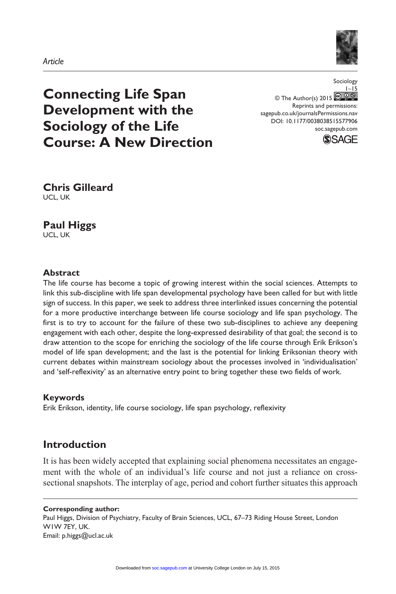

Sociology

# **Connecting Life Span Development with the Sociology of the Life Course: A New Direction**

1–15 © The Author(s) 2015 © 0 0 Reprints and permissions: sagepub.co.uk/journalsPermissions.nav DOI: 10.1177/0038038515577906 soc.sagepub.com



**Chris Gilleard** UCL, UK

# **Paul Higgs**

UCL, UK

### **Abstract**

The life course has become a topic of growing interest within the social sciences. Attempts to link this sub-discipline with life span developmental psychology have been called for but with little sign of success. In this paper, we seek to address three interlinked issues concerning the potential for a more productive interchange between life course sociology and life span psychology. The first is to try to account for the failure of these two sub-disciplines to achieve any deepening engagement with each other, despite the long-expressed desirability of that goal; the second is to draw attention to the scope for enriching the sociology of the life course through Erik Erikson's model of life span development; and the last is the potential for linking Eriksonian theory with current debates within mainstream sociology about the processes involved in 'individualisation' and 'self-reflexivity' as an alternative entry point to bring together these two fields of work.

### **Keywords**

Erik Erikson, identity, life course sociology, life span psychology, reflexivity

# **Introduction**

It is has been widely accepted that explaining social phenomena necessitates an engagement with the whole of an individual's life course and not just a reliance on crosssectional snapshots. The interplay of age, period and cohort further situates this approach

**Corresponding author:** Paul Higgs, Division of Psychiatry, Faculty of Brain Sciences, UCL, 67–73 Riding House Street, London W1W 7EY, UK. Email: [p.higgs@ucl.ac.uk](mailto:p.higgs@ucl.ac.uk)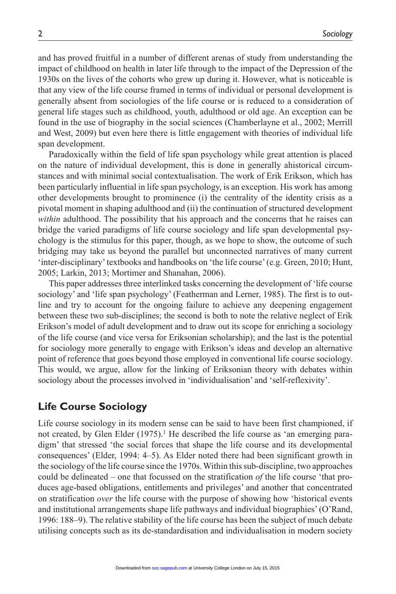and has proved fruitful in a number of different arenas of study from understanding the impact of childhood on health in later life through to the impact of the Depression of the 1930s on the lives of the cohorts who grew up during it. However, what is noticeable is that any view of the life course framed in terms of individual or personal development is generally absent from sociologies of the life course or is reduced to a consideration of general life stages such as childhood, youth, adulthood or old age. An exception can be found in the use of biography in the social sciences (Chamberlayne et al., 2002; Merrill and West, 2009) but even here there is little engagement with theories of individual life span development.

Paradoxically within the field of life span psychology while great attention is placed on the nature of individual development, this is done in generally ahistorical circumstances and with minimal social contextualisation. The work of Erik Erikson, which has been particularly influential in life span psychology, is an exception. His work has among other developments brought to prominence (i) the centrality of the identity crisis as a pivotal moment in shaping adulthood and (ii) the continuation of structured development *within* adulthood. The possibility that his approach and the concerns that he raises can bridge the varied paradigms of life course sociology and life span developmental psychology is the stimulus for this paper, though, as we hope to show, the outcome of such bridging may take us beyond the parallel but unconnected narratives of many current 'inter-disciplinary' textbooks and handbooks on 'the life course' (e.g. Green, 2010; Hunt, 2005; Larkin, 2013; Mortimer and Shanahan, 2006).

This paper addresses three interlinked tasks concerning the development of 'life course sociology' and 'life span psychology' (Featherman and Lerner, 1985). The first is to outline and try to account for the ongoing failure to achieve any deepening engagement between these two sub-disciplines; the second is both to note the relative neglect of Erik Erikson's model of adult development and to draw out its scope for enriching a sociology of the life course (and vice versa for Eriksonian scholarship); and the last is the potential for sociology more generally to engage with Erikson's ideas and develop an alternative point of reference that goes beyond those employed in conventional life course sociology. This would, we argue, allow for the linking of Eriksonian theory with debates within sociology about the processes involved in 'individualisation' and 'self-reflexivity'.

### **Life Course Sociology**

Life course sociology in its modern sense can be said to have been first championed, if not created, by Glen Elder (1975).<sup>1</sup> He described the life course as 'an emerging paradigm' that stressed 'the social forces that shape the life course and its developmental consequences' (Elder, 1994: 4–5). As Elder noted there had been significant growth in the sociology of the life course since the 1970s. Within this sub-discipline, two approaches could be delineated – one that focussed on the stratification *of* the life course 'that produces age-based obligations, entitlements and privileges' and another that concentrated on stratification *over* the life course with the purpose of showing how 'historical events and institutional arrangements shape life pathways and individual biographies' (O'Rand, 1996: 188–9). The relative stability of the life course has been the subject of much debate utilising concepts such as its de-standardisation and individualisation in modern society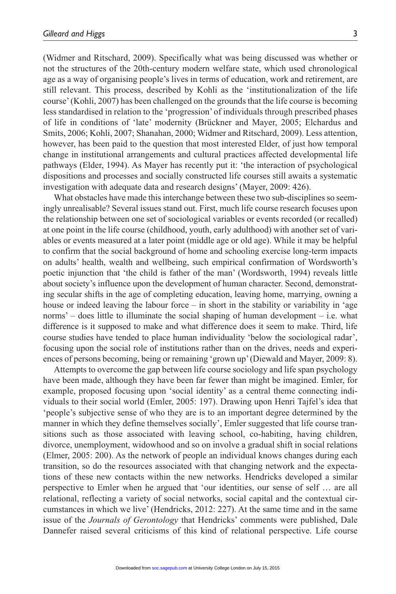(Widmer and Ritschard, 2009). Specifically what was being discussed was whether or not the structures of the 20th-century modern welfare state, which used chronological age as a way of organising people's lives in terms of education, work and retirement, are still relevant. This process, described by Kohli as the 'institutionalization of the life course' (Kohli, 2007) has been challenged on the grounds that the life course is becoming less standardised in relation to the 'progression' of individuals through prescribed phases of life in conditions of 'late' modernity (Brückner and Mayer, 2005; Elchardus and Smits, 2006; Kohli, 2007; Shanahan, 2000; Widmer and Ritschard, 2009). Less attention, however, has been paid to the question that most interested Elder, of just how temporal change in institutional arrangements and cultural practices affected developmental life pathways (Elder, 1994). As Mayer has recently put it: 'the interaction of psychological dispositions and processes and socially constructed life courses still awaits a systematic investigation with adequate data and research designs' (Mayer, 2009: 426).

What obstacles have made this interchange between these two sub-disciplines so seemingly unrealisable? Several issues stand out. First, much life course research focuses upon the relationship between one set of sociological variables or events recorded (or recalled) at one point in the life course (childhood, youth, early adulthood) with another set of variables or events measured at a later point (middle age or old age). While it may be helpful to confirm that the social background of home and schooling exercise long-term impacts on adults' health, wealth and wellbeing, such empirical confirmation of Wordsworth's poetic injunction that 'the child is father of the man' (Wordsworth, 1994) reveals little about society's influence upon the development of human character. Second, demonstrating secular shifts in the age of completing education, leaving home, marrying, owning a house or indeed leaving the labour force – in short in the stability or variability in 'age norms' – does little to illuminate the social shaping of human development – i.e. what difference is it supposed to make and what difference does it seem to make. Third, life course studies have tended to place human individuality 'below the sociological radar', focusing upon the social role of institutions rather than on the drives, needs and experiences of persons becoming, being or remaining 'grown up' (Diewald and Mayer, 2009: 8).

Attempts to overcome the gap between life course sociology and life span psychology have been made, although they have been far fewer than might be imagined. Emler, for example, proposed focusing upon 'social identity' as a central theme connecting individuals to their social world (Emler, 2005: 197). Drawing upon Henri Tajfel's idea that 'people's subjective sense of who they are is to an important degree determined by the manner in which they define themselves socially', Emler suggested that life course transitions such as those associated with leaving school, co-habiting, having children, divorce, unemployment, widowhood and so on involve a gradual shift in social relations (Elmer, 2005: 200). As the network of people an individual knows changes during each transition, so do the resources associated with that changing network and the expectations of these new contacts within the new networks. Hendricks developed a similar perspective to Emler when he argued that 'our identities, our sense of self … are all relational, reflecting a variety of social networks, social capital and the contextual circumstances in which we live' (Hendricks, 2012: 227). At the same time and in the same issue of the *Journals of Gerontology* that Hendricks' comments were published, Dale Dannefer raised several criticisms of this kind of relational perspective. Life course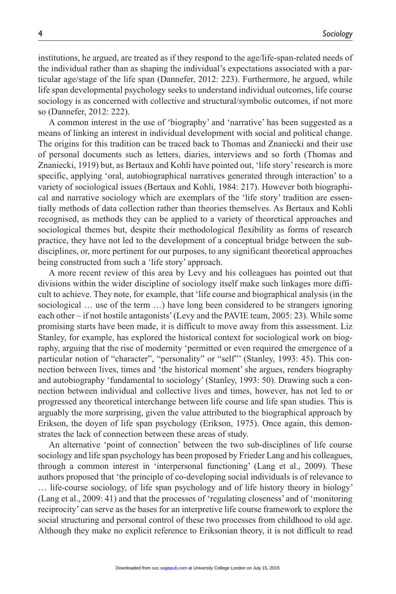institutions, he argued, are treated as if they respond to the age/life-span-related needs of the individual rather than as shaping the individual's expectations associated with a particular age/stage of the life span (Dannefer, 2012: 223). Furthermore, he argued, while life span developmental psychology seeks to understand individual outcomes, life course sociology is as concerned with collective and structural/symbolic outcomes, if not more so (Dannefer, 2012: 222).

A common interest in the use of 'biography' and 'narrative' has been suggested as a means of linking an interest in individual development with social and political change. The origins for this tradition can be traced back to Thomas and Znaniecki and their use of personal documents such as letters, diaries, interviews and so forth (Thomas and Znaniecki, 1919) but, as Bertaux and Kohli have pointed out, 'life story' research is more specific, applying 'oral, autobiographical narratives generated through interaction' to a variety of sociological issues (Bertaux and Kohli, 1984: 217). However both biographical and narrative sociology which are exemplars of the 'life story' tradition are essentially methods of data collection rather than theories themselves. As Bertaux and Kohli recognised, as methods they can be applied to a variety of theoretical approaches and sociological themes but, despite their methodological flexibility as forms of research practice, they have not led to the development of a conceptual bridge between the subdisciplines, or, more pertinent for our purposes, to any significant theoretical approaches being constructed from such a 'life story' approach.

A more recent review of this area by Levy and his colleagues has pointed out that divisions within the wider discipline of sociology itself make such linkages more difficult to achieve. They note, for example, that 'life course and biographical analysis (in the sociological … use of the term …) have long been considered to be strangers ignoring each other – if not hostile antagonists' (Levy and the PAVIE team, 2005: 23). While some promising starts have been made, it is difficult to move away from this assessment. Liz Stanley, for example, has explored the historical context for sociological work on biography, arguing that the rise of modernity 'permitted or even required the emergence of a particular notion of "character", "personality" or "self"' (Stanley, 1993: 45). This connection between lives, times and 'the historical moment' she argues, renders biography and autobiography 'fundamental to sociology' (Stanley, 1993: 50). Drawing such a connection between individual and collective lives and times, however, has not led to or progressed any theoretical interchange between life course and life span studies. This is arguably the more surprising, given the value attributed to the biographical approach by Erikson, the doyen of life span psychology (Erikson, 1975). Once again, this demonstrates the lack of connection between these areas of study.

An alternative 'point of connection' between the two sub-disciplines of life course sociology and life span psychology has been proposed by Frieder Lang and his colleagues, through a common interest in 'interpersonal functioning' (Lang et al., 2009). These authors proposed that 'the principle of co-developing social individuals is of relevance to … life-course sociology, of life span psychology and of life history theory in biology' (Lang et al., 2009: 41) and that the processes of 'regulating closeness' and of 'monitoring reciprocity' can serve as the bases for an interpretive life course framework to explore the social structuring and personal control of these two processes from childhood to old age. Although they make no explicit reference to Eriksonian theory, it is not difficult to read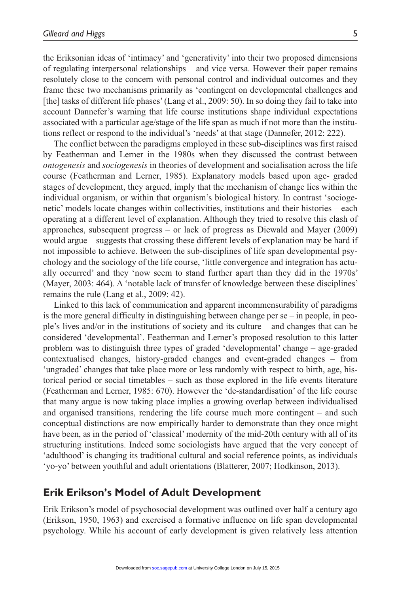the Eriksonian ideas of 'intimacy' and 'generativity' into their two proposed dimensions of regulating interpersonal relationships – and vice versa. However their paper remains resolutely close to the concern with personal control and individual outcomes and they frame these two mechanisms primarily as 'contingent on developmental challenges and [the] tasks of different life phases' (Lang et al., 2009: 50). In so doing they fail to take into account Dannefer's warning that life course institutions shape individual expectations associated with a particular age/stage of the life span as much if not more than the institutions reflect or respond to the individual's 'needs' at that stage (Dannefer, 2012: 222).

The conflict between the paradigms employed in these sub-disciplines was first raised by Featherman and Lerner in the 1980s when they discussed the contrast between *ontogenesis* and *sociogenesis* in theories of development and socialisation across the life course (Featherman and Lerner, 1985). Explanatory models based upon age- graded stages of development, they argued, imply that the mechanism of change lies within the individual organism, or within that organism's biological history. In contrast 'sociogenetic' models locate changes within collectivities, institutions and their histories – each operating at a different level of explanation. Although they tried to resolve this clash of approaches, subsequent progress – or lack of progress as Diewald and Mayer (2009) would argue – suggests that crossing these different levels of explanation may be hard if not impossible to achieve. Between the sub-disciplines of life span developmental psychology and the sociology of the life course, 'little convergence and integration has actually occurred' and they 'now seem to stand further apart than they did in the 1970s' (Mayer, 2003: 464). A 'notable lack of transfer of knowledge between these disciplines' remains the rule (Lang et al., 2009: 42).

Linked to this lack of communication and apparent incommensurability of paradigms is the more general difficulty in distinguishing between change per se – in people, in people's lives and/or in the institutions of society and its culture – and changes that can be considered 'developmental'. Featherman and Lerner's proposed resolution to this latter problem was to distinguish three types of graded 'developmental' change – age-graded contextualised changes, history-graded changes and event-graded changes – from 'ungraded' changes that take place more or less randomly with respect to birth, age, historical period or social timetables – such as those explored in the life events literature (Featherman and Lerner, 1985: 670). However the 'de-standardisation' of the life course that many argue is now taking place implies a growing overlap between individualised and organised transitions, rendering the life course much more contingent – and such conceptual distinctions are now empirically harder to demonstrate than they once might have been, as in the period of 'classical' modernity of the mid-20th century with all of its structuring institutions. Indeed some sociologists have argued that the very concept of 'adulthood' is changing its traditional cultural and social reference points, as individuals 'yo-yo' between youthful and adult orientations (Blatterer, 2007; Hodkinson, 2013).

### **Erik Erikson's Model of Adult Development**

Erik Erikson's model of psychosocial development was outlined over half a century ago (Erikson, 1950, 1963) and exercised a formative influence on life span developmental psychology. While his account of early development is given relatively less attention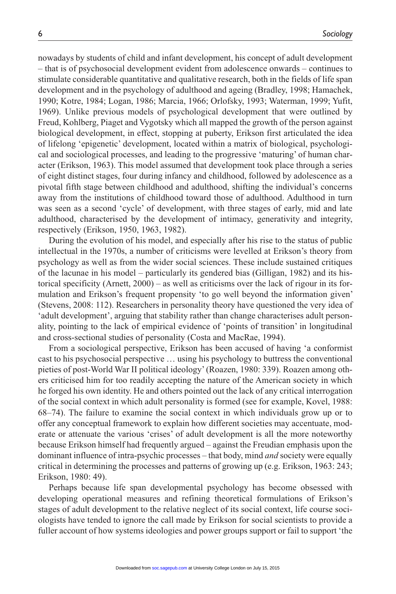nowadays by students of child and infant development, his concept of adult development – that is of psychosocial development evident from adolescence onwards – continues to stimulate considerable quantitative and qualitative research, both in the fields of life span development and in the psychology of adulthood and ageing (Bradley, 1998; Hamachek, 1990; Kotre, 1984; Logan, 1986; Marcia, 1966; Orlofsky, 1993; Waterman, 1999; Yufit, 1969). Unlike previous models of psychological development that were outlined by Freud, Kohlberg, Piaget and Vygotsky which all mapped the growth of the person against biological development, in effect, stopping at puberty, Erikson first articulated the idea of lifelong 'epigenetic' development, located within a matrix of biological, psychological and sociological processes, and leading to the progressive 'maturing' of human character (Erikson, 1963). This model assumed that development took place through a series of eight distinct stages, four during infancy and childhood, followed by adolescence as a pivotal fifth stage between childhood and adulthood, shifting the individual's concerns away from the institutions of childhood toward those of adulthood. Adulthood in turn was seen as a second 'cycle' of development, with three stages of early, mid and late adulthood, characterised by the development of intimacy, generativity and integrity, respectively (Erikson, 1950, 1963, 1982).

During the evolution of his model, and especially after his rise to the status of public intellectual in the 1970s, a number of criticisms were levelled at Erikson's theory from psychology as well as from the wider social sciences. These include sustained critiques of the lacunae in his model – particularly its gendered bias (Gilligan, 1982) and its historical specificity (Arnett, 2000) – as well as criticisms over the lack of rigour in its formulation and Erikson's frequent propensity 'to go well beyond the information given' (Stevens, 2008: 112). Researchers in personality theory have questioned the very idea of 'adult development', arguing that stability rather than change characterises adult personality, pointing to the lack of empirical evidence of 'points of transition' in longitudinal and cross-sectional studies of personality (Costa and MacRae, 1994).

From a sociological perspective, Erikson has been accused of having 'a conformist cast to his psychosocial perspective … using his psychology to buttress the conventional pieties of post-World War II political ideology' (Roazen, 1980: 339). Roazen among others criticised him for too readily accepting the nature of the American society in which he forged his own identity. He and others pointed out the lack of any critical interrogation of the social context in which adult personality is formed (see for example, Kovel, 1988: 68–74). The failure to examine the social context in which individuals grow up or to offer any conceptual framework to explain how different societies may accentuate, moderate or attenuate the various 'crises' of adult development is all the more noteworthy because Erikson himself had frequently argued – against the Freudian emphasis upon the dominant influence of intra-psychic processes – that body, mind *and* society were equally critical in determining the processes and patterns of growing up (e.g. Erikson, 1963: 243; Erikson, 1980: 49).

Perhaps because life span developmental psychology has become obsessed with developing operational measures and refining theoretical formulations of Erikson's stages of adult development to the relative neglect of its social context, life course sociologists have tended to ignore the call made by Erikson for social scientists to provide a fuller account of how systems ideologies and power groups support or fail to support 'the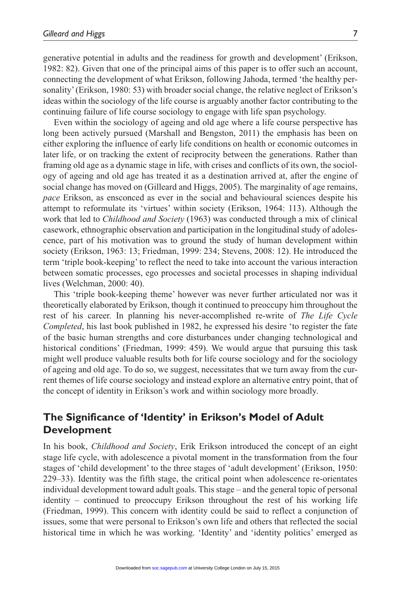generative potential in adults and the readiness for growth and development' (Erikson, 1982: 82). Given that one of the principal aims of this paper is to offer such an account, connecting the development of what Erikson, following Jahoda, termed 'the healthy personality' (Erikson, 1980: 53) with broader social change, the relative neglect of Erikson's ideas within the sociology of the life course is arguably another factor contributing to the continuing failure of life course sociology to engage with life span psychology.

Even within the sociology of ageing and old age where a life course perspective has long been actively pursued (Marshall and Bengston, 2011) the emphasis has been on either exploring the influence of early life conditions on health or economic outcomes in later life, or on tracking the extent of reciprocity between the generations. Rather than framing old age as a dynamic stage in life, with crises and conflicts of its own, the sociology of ageing and old age has treated it as a destination arrived at, after the engine of social change has moved on (Gilleard and Higgs, 2005). The marginality of age remains, *pace* Erikson, as ensconced as ever in the social and behavioural sciences despite his attempt to reformulate its 'virtues' within society (Erikson, 1964: 113). Although the work that led to *Childhood and Society* (1963) was conducted through a mix of clinical casework, ethnographic observation and participation in the longitudinal study of adolescence, part of his motivation was to ground the study of human development within society (Erikson, 1963: 13; Friedman, 1999: 234; Stevens, 2008: 12). He introduced the term 'triple book-keeping' to reflect the need to take into account the various interaction between somatic processes, ego processes and societal processes in shaping individual lives (Welchman, 2000: 40).

This 'triple book-keeping theme' however was never further articulated nor was it theoretically elaborated by Erikson, though it continued to preoccupy him throughout the rest of his career. In planning his never-accomplished re-write of *The Life Cycle Completed*, his last book published in 1982, he expressed his desire 'to register the fate of the basic human strengths and core disturbances under changing technological and historical conditions' (Friedman, 1999: 459). We would argue that pursuing this task might well produce valuable results both for life course sociology and for the sociology of ageing and old age. To do so, we suggest, necessitates that we turn away from the current themes of life course sociology and instead explore an alternative entry point, that of the concept of identity in Erikson's work and within sociology more broadly.

# **The Significance of 'Identity' in Erikson's Model of Adult Development**

In his book, *Childhood and Society*, Erik Erikson introduced the concept of an eight stage life cycle, with adolescence a pivotal moment in the transformation from the four stages of 'child development' to the three stages of 'adult development' (Erikson, 1950: 229–33). Identity was the fifth stage, the critical point when adolescence re-orientates individual development toward adult goals. This stage – and the general topic of personal identity – continued to preoccupy Erikson throughout the rest of his working life (Friedman, 1999). This concern with identity could be said to reflect a conjunction of issues, some that were personal to Erikson's own life and others that reflected the social historical time in which he was working. 'Identity' and 'identity politics' emerged as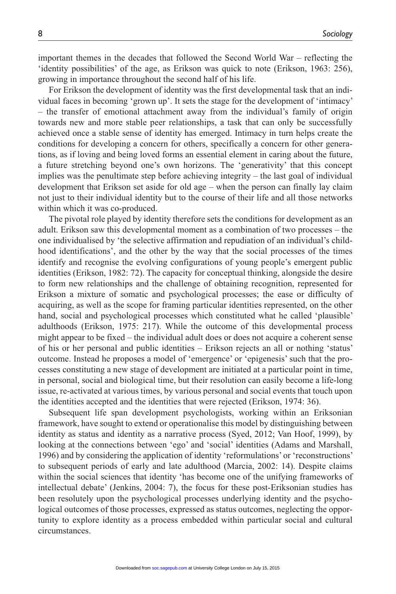important themes in the decades that followed the Second World War – reflecting the 'identity possibilities' of the age, as Erikson was quick to note (Erikson, 1963: 256), growing in importance throughout the second half of his life.

For Erikson the development of identity was the first developmental task that an individual faces in becoming 'grown up'. It sets the stage for the development of 'intimacy' – the transfer of emotional attachment away from the individual's family of origin towards new and more stable peer relationships, a task that can only be successfully achieved once a stable sense of identity has emerged. Intimacy in turn helps create the conditions for developing a concern for others, specifically a concern for other generations, as if loving and being loved forms an essential element in caring about the future, a future stretching beyond one's own horizons. The 'generativity' that this concept implies was the penultimate step before achieving integrity – the last goal of individual development that Erikson set aside for old age – when the person can finally lay claim not just to their individual identity but to the course of their life and all those networks within which it was co-produced.

The pivotal role played by identity therefore sets the conditions for development as an adult. Erikson saw this developmental moment as a combination of two processes – the one individualised by 'the selective affirmation and repudiation of an individual's childhood identifications', and the other by the way that the social processes of the times identify and recognise the evolving configurations of young people's emergent public identities (Erikson, 1982: 72). The capacity for conceptual thinking, alongside the desire to form new relationships and the challenge of obtaining recognition, represented for Erikson a mixture of somatic and psychological processes; the ease or difficulty of acquiring, as well as the scope for framing particular identities represented, on the other hand, social and psychological processes which constituted what he called 'plausible' adulthoods (Erikson, 1975: 217). While the outcome of this developmental process might appear to be fixed – the individual adult does or does not acquire a coherent sense of his or her personal and public identities – Erikson rejects an all or nothing 'status' outcome. Instead he proposes a model of 'emergence' or 'epigenesis' such that the processes constituting a new stage of development are initiated at a particular point in time, in personal, social and biological time, but their resolution can easily become a life-long issue, re-activated at various times, by various personal and social events that touch upon the identities accepted and the identities that were rejected (Erikson, 1974: 36).

Subsequent life span development psychologists, working within an Eriksonian framework, have sought to extend or operationalise this model by distinguishing between identity as status and identity as a narrative process (Syed, 2012; Van Hoof, 1999), by looking at the connections between 'ego' and 'social' identities (Adams and Marshall, 1996) and by considering the application of identity 'reformulations' or 'reconstructions' to subsequent periods of early and late adulthood (Marcia, 2002: 14). Despite claims within the social sciences that identity 'has become one of the unifying frameworks of intellectual debate' (Jenkins, 2004: 7), the focus for these post-Eriksonian studies has been resolutely upon the psychological processes underlying identity and the psychological outcomes of those processes, expressed as status outcomes, neglecting the opportunity to explore identity as a process embedded within particular social and cultural circumstances.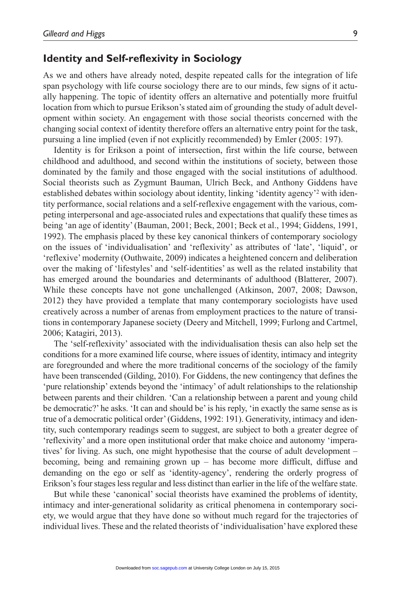### **Identity and Self-reflexivity in Sociology**

As we and others have already noted, despite repeated calls for the integration of life span psychology with life course sociology there are to our minds, few signs of it actually happening. The topic of identity offers an alternative and potentially more fruitful location from which to pursue Erikson's stated aim of grounding the study of adult development within society. An engagement with those social theorists concerned with the changing social context of identity therefore offers an alternative entry point for the task, pursuing a line implied (even if not explicitly recommended) by Emler (2005: 197).

Identity is for Erikson a point of intersection, first within the life course, between childhood and adulthood, and second within the institutions of society, between those dominated by the family and those engaged with the social institutions of adulthood. Social theorists such as Zygmunt Bauman, Ulrich Beck, and Anthony Giddens have established debates within sociology about identity, linking 'identity agency'2 with identity performance, social relations and a self-reflexive engagement with the various, competing interpersonal and age-associated rules and expectations that qualify these times as being 'an age of identity' (Bauman, 2001; Beck, 2001; Beck et al., 1994; Giddens, 1991, 1992). The emphasis placed by these key canonical thinkers of contemporary sociology on the issues of 'individualisation' and 'reflexivity' as attributes of 'late', 'liquid', or 'reflexive' modernity (Outhwaite, 2009) indicates a heightened concern and deliberation over the making of 'lifestyles' and 'self-identities' as well as the related instability that has emerged around the boundaries and determinants of adulthood (Blatterer, 2007). While these concepts have not gone unchallenged (Atkinson, 2007, 2008; Dawson, 2012) they have provided a template that many contemporary sociologists have used creatively across a number of arenas from employment practices to the nature of transitions in contemporary Japanese society (Deery and Mitchell, 1999; Furlong and Cartmel, 2006; Katagiri, 2013).

The 'self-reflexivity' associated with the individualisation thesis can also help set the conditions for a more examined life course, where issues of identity, intimacy and integrity are foregrounded and where the more traditional concerns of the sociology of the family have been transcended (Gilding, 2010). For Giddens, the new contingency that defines the 'pure relationship' extends beyond the 'intimacy' of adult relationships to the relationship between parents and their children. 'Can a relationship between a parent and young child be democratic?' he asks. 'It can and should be' is his reply, 'in exactly the same sense as is true of a democratic political order' (Giddens, 1992: 191). Generativity, intimacy and identity, such contemporary readings seem to suggest, are subject to both a greater degree of 'reflexivity' and a more open institutional order that make choice and autonomy 'imperatives' for living. As such, one might hypothesise that the course of adult development – becoming, being and remaining grown up – has become more difficult, diffuse and demanding on the ego or self as 'identity-agency', rendering the orderly progress of Erikson's four stages less regular and less distinct than earlier in the life of the welfare state.

But while these 'canonical' social theorists have examined the problems of identity, intimacy and inter-generational solidarity as critical phenomena in contemporary society, we would argue that they have done so without much regard for the trajectories of individual lives. These and the related theorists of 'individualisation' have explored these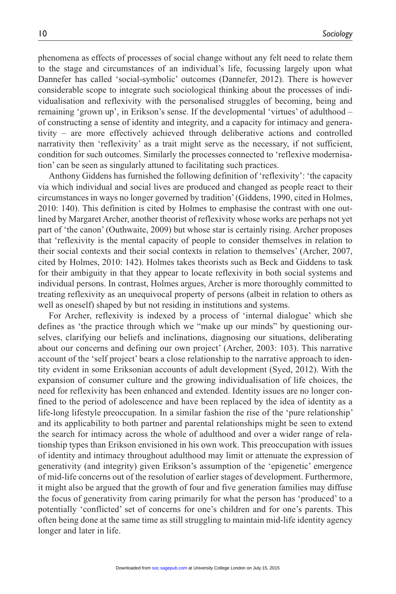phenomena as effects of processes of social change without any felt need to relate them to the stage and circumstances of an individual's life, focussing largely upon what Dannefer has called 'social-symbolic' outcomes (Dannefer, 2012). There is however considerable scope to integrate such sociological thinking about the processes of individualisation and reflexivity with the personalised struggles of becoming, being and remaining 'grown up', in Erikson's sense. If the developmental 'virtues' of adulthood – of constructing a sense of identity and integrity, and a capacity for intimacy and generativity – are more effectively achieved through deliberative actions and controlled narrativity then 'reflexivity' as a trait might serve as the necessary, if not sufficient, condition for such outcomes. Similarly the processes connected to 'reflexive modernisation' can be seen as singularly attuned to facilitating such practices.

Anthony Giddens has furnished the following definition of 'reflexivity': 'the capacity via which individual and social lives are produced and changed as people react to their circumstances in ways no longer governed by tradition' (Giddens, 1990, cited in Holmes, 2010: 140). This definition is cited by Holmes to emphasise the contrast with one outlined by Margaret Archer, another theorist of reflexivity whose works are perhaps not yet part of 'the canon' (Outhwaite, 2009) but whose star is certainly rising. Archer proposes that 'reflexivity is the mental capacity of people to consider themselves in relation to their social contexts and their social contexts in relation to themselves' (Archer, 2007, cited by Holmes, 2010: 142). Holmes takes theorists such as Beck and Giddens to task for their ambiguity in that they appear to locate reflexivity in both social systems and individual persons. In contrast, Holmes argues, Archer is more thoroughly committed to treating reflexivity as an unequivocal property of persons (albeit in relation to others as well as oneself) shaped by but not residing in institutions and systems.

For Archer, reflexivity is indexed by a process of 'internal dialogue' which she defines as 'the practice through which we "make up our minds" by questioning ourselves, clarifying our beliefs and inclinations, diagnosing our situations, deliberating about our concerns and defining our own project' (Archer, 2003: 103). This narrative account of the 'self project' bears a close relationship to the narrative approach to identity evident in some Eriksonian accounts of adult development (Syed, 2012). With the expansion of consumer culture and the growing individualisation of life choices, the need for reflexivity has been enhanced and extended. Identity issues are no longer confined to the period of adolescence and have been replaced by the idea of identity as a life-long lifestyle preoccupation. In a similar fashion the rise of the 'pure relationship' and its applicability to both partner and parental relationships might be seen to extend the search for intimacy across the whole of adulthood and over a wider range of relationship types than Erikson envisioned in his own work. This preoccupation with issues of identity and intimacy throughout adulthood may limit or attenuate the expression of generativity (and integrity) given Erikson's assumption of the 'epigenetic' emergence of mid-life concerns out of the resolution of earlier stages of development. Furthermore, it might also be argued that the growth of four and five generation families may diffuse the focus of generativity from caring primarily for what the person has 'produced' to a potentially 'conflicted' set of concerns for one's children and for one's parents. This often being done at the same time as still struggling to maintain mid-life identity agency longer and later in life.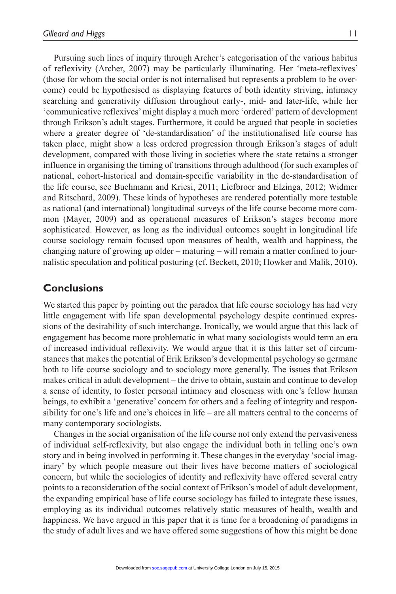Pursuing such lines of inquiry through Archer's categorisation of the various habitus of reflexivity (Archer, 2007) may be particularly illuminating. Her 'meta-reflexives' (those for whom the social order is not internalised but represents a problem to be overcome) could be hypothesised as displaying features of both identity striving, intimacy searching and generativity diffusion throughout early-, mid- and later-life, while her 'communicative reflexives' might display a much more 'ordered' pattern of development through Erikson's adult stages. Furthermore, it could be argued that people in societies where a greater degree of 'de-standardisation' of the institutionalised life course has taken place, might show a less ordered progression through Erikson's stages of adult development, compared with those living in societies where the state retains a stronger influence in organising the timing of transitions through adulthood (for such examples of national, cohort-historical and domain-specific variability in the de-standardisation of the life course, see Buchmann and Kriesi, 2011; Liefbroer and Elzinga, 2012; Widmer and Ritschard, 2009). These kinds of hypotheses are rendered potentially more testable as national (and international) longitudinal surveys of the life course become more common (Mayer, 2009) and as operational measures of Erikson's stages become more sophisticated. However, as long as the individual outcomes sought in longitudinal life course sociology remain focused upon measures of health, wealth and happiness, the changing nature of growing up older – maturing – will remain a matter confined to journalistic speculation and political posturing (cf. Beckett, 2010; Howker and Malik, 2010).

## **Conclusions**

We started this paper by pointing out the paradox that life course sociology has had very little engagement with life span developmental psychology despite continued expressions of the desirability of such interchange. Ironically, we would argue that this lack of engagement has become more problematic in what many sociologists would term an era of increased individual reflexivity. We would argue that it is this latter set of circumstances that makes the potential of Erik Erikson's developmental psychology so germane both to life course sociology and to sociology more generally. The issues that Erikson makes critical in adult development – the drive to obtain, sustain and continue to develop a sense of identity, to foster personal intimacy and closeness with one's fellow human beings, to exhibit a 'generative' concern for others and a feeling of integrity and responsibility for one's life and one's choices in life – are all matters central to the concerns of many contemporary sociologists.

Changes in the social organisation of the life course not only extend the pervasiveness of individual self-reflexivity, but also engage the individual both in telling one's own story and in being involved in performing it. These changes in the everyday 'social imaginary' by which people measure out their lives have become matters of sociological concern, but while the sociologies of identity and reflexivity have offered several entry points to a reconsideration of the social context of Erikson's model of adult development, the expanding empirical base of life course sociology has failed to integrate these issues, employing as its individual outcomes relatively static measures of health, wealth and happiness. We have argued in this paper that it is time for a broadening of paradigms in the study of adult lives and we have offered some suggestions of how this might be done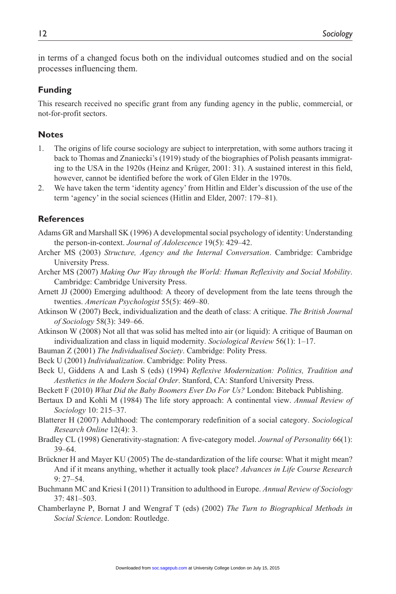in terms of a changed focus both on the individual outcomes studied and on the social processes influencing them.

#### **Funding**

This research received no specific grant from any funding agency in the public, commercial, or not-for-profit sectors.

#### **Notes**

- 1. The origins of life course sociology are subject to interpretation, with some authors tracing it back to Thomas and Znaniecki's (1919) study of the biographies of Polish peasants immigrating to the USA in the 1920s (Heinz and Krüger, 2001: 31). A sustained interest in this field, however, cannot be identified before the work of Glen Elder in the 1970s.
- 2. We have taken the term 'identity agency' from Hitlin and Elder's discussion of the use of the term 'agency' in the social sciences (Hitlin and Elder, 2007: 179–81).

#### **References**

- Adams GR and Marshall SK (1996) A developmental social psychology of identity: Understanding the person-in-context. *Journal of Adolescence* 19(5): 429–42.
- Archer MS (2003) *Structure, Agency and the Internal Conversation*. Cambridge: Cambridge University Press.
- Archer MS (2007) *Making Our Way through the World: Human Reflexivity and Social Mobility*. Cambridge: Cambridge University Press.
- Arnett JJ (2000) Emerging adulthood: A theory of development from the late teens through the twenties. *American Psychologist* 55(5): 469–80.
- Atkinson W (2007) Beck, individualization and the death of class: A critique. *The British Journal of Sociology* 58(3): 349–66.
- Atkinson W (2008) Not all that was solid has melted into air (or liquid): A critique of Bauman on individualization and class in liquid modernity. *Sociological Review* 56(1): 1–17.
- Bauman Z (2001) *The Individualised Society*. Cambridge: Polity Press.
- Beck U (2001) *Individualization*. Cambridge: Polity Press.
- Beck U, Giddens A and Lash S (eds) (1994) *Reflexive Modernization: Politics, Tradition and Aesthetics in the Modern Social Order*. Stanford, CA: Stanford University Press.
- Beckett F (2010) *What Did the Baby Boomers Ever Do For Us?* London: Biteback Publishing.
- Bertaux D and Kohli M (1984) The life story approach: A continental view. *Annual Review of Sociology* 10: 215–37.
- Blatterer H (2007) Adulthood: The contemporary redefinition of a social category. *Sociological Research Online* 12(4): 3.
- Bradley CL (1998) Generativity-stagnation: A five-category model. *Journal of Personality* 66(1): 39–64.
- Brückner H and Mayer KU (2005) The de-standardization of the life course: What it might mean? And if it means anything, whether it actually took place? *Advances in Life Course Research* 9: 27–54.
- Buchmann MC and Kriesi I (2011) Transition to adulthood in Europe. *Annual Review of Sociology* 37: 481–503.
- Chamberlayne P, Bornat J and Wengraf T (eds) (2002) *The Turn to Biographical Methods in Social Science*. London: Routledge.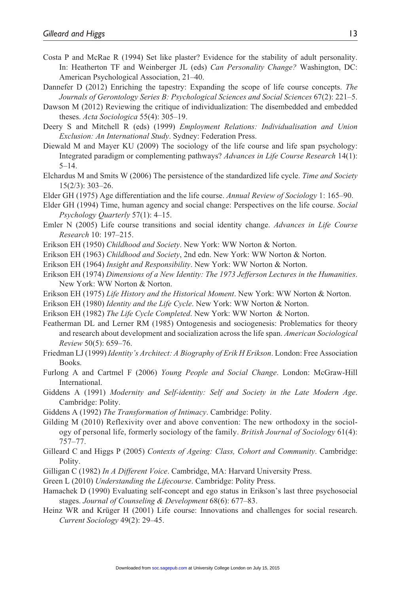- Costa P and McRae R (1994) Set like plaster? Evidence for the stability of adult personality. In: Heatherton TF and Weinberger JL (eds) *Can Personality Change?* Washington, DC: American Psychological Association, 21–40.
- Dannefer D (2012) Enriching the tapestry: Expanding the scope of life course concepts. *The Journals of Gerontology Series B: Psychological Sciences and Social Sciences* 67(2): 221–5.
- Dawson M (2012) Reviewing the critique of individualization: The disembedded and embedded theses. *Acta Sociologica* 55(4): 305–19.
- Deery S and Mitchell R (eds) (1999) *Employment Relations: Individualisation and Union Exclusion: An International Study*. Sydney: Federation Press.
- Diewald M and Mayer KU (2009) The sociology of the life course and life span psychology: Integrated paradigm or complementing pathways? *Advances in Life Course Research* 14(1): 5–14.
- Elchardus M and Smits W (2006) The persistence of the standardized life cycle. *Time and Society* 15(2/3): 303–26.
- Elder GH (1975) Age differentiation and the life course. *Annual Review of Sociology* 1: 165–90.
- Elder GH (1994) Time, human agency and social change: Perspectives on the life course. *Social Psychology Quarterly* 57(1): 4–15.
- Emler N (2005) Life course transitions and social identity change. *Advances in Life Course Research* 10: 197–215.
- Erikson EH (1950) *Childhood and Society*. New York: WW Norton & Norton.
- Erikson EH (1963) *Childhood and Society*, 2nd edn. New York: WW Norton & Norton.
- Erikson EH (1964) *Insight and Responsibility*. New York: WW Norton & Norton.
- Erikson EH (1974) *Dimensions of a New Identity: The 1973 Jefferson Lectures in the Humanities*. New York: WW Norton & Norton.
- Erikson EH (1975) *Life History and the Historical Moment*. New York: WW Norton & Norton.
- Erikson EH (1980) *Identity and the Life Cycle*. New York: WW Norton & Norton.
- Erikson EH (1982) *The Life Cycle Completed*. New York: WW Norton & Norton.
- Featherman DL and Lerner RM (1985) Ontogenesis and sociogenesis: Problematics for theory and research about development and socialization across the life span. *American Sociological Review* 50(5): 659–76.
- Friedman LJ (1999) *Identity's Architect: A Biography of Erik H Erikson*. London: Free Association Books.
- Furlong A and Cartmel F (2006) *Young People and Social Change*. London: McGraw-Hill International.
- Giddens A (1991) *Modernity and Self-identity: Self and Society in the Late Modern Age*. Cambridge: Polity.
- Giddens A (1992) *The Transformation of Intimacy*. Cambridge: Polity.
- Gilding M (2010) Reflexivity over and above convention: The new orthodoxy in the sociology of personal life, formerly sociology of the family. *British Journal of Sociology* 61(4): 757–77.
- Gilleard C and Higgs P (2005) *Contexts of Ageing: Class, Cohort and Community*. Cambridge: Polity.
- Gilligan C (1982) *In A Different Voice*. Cambridge, MA: Harvard University Press.
- Green L (2010) *Understanding the Lifecourse*. Cambridge: Polity Press.
- Hamachek D (1990) Evaluating self-concept and ego status in Erikson's last three psychosocial stages. *Journal of Counseling & Development* 68(6): 677–83.
- Heinz WR and Krüger H (2001) Life course: Innovations and challenges for social research. *Current Sociology* 49(2): 29–45.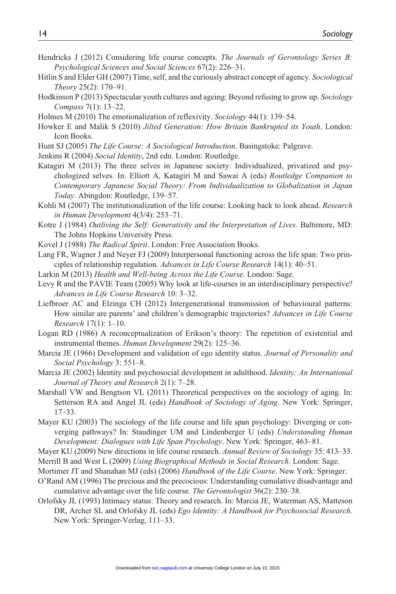- Hendricks J (2012) Considering life course concepts. *The Journals of Gerontology Series B: Psychological Sciences and Social Sciences* 67(2): 226–31.
- Hitlin S and Elder GH (2007) Time, self, and the curiously abstract concept of agency. *Sociological Theory* 25(2): 170–91.
- Hodkinson P (2013) Spectacular youth cultures and ageing: Beyond refusing to grow up. *Sociology Compass* 7(1): 13–22.
- Holmes M (2010) The emotionalization of reflexivity. *Sociology* 44(1): 139–54.
- Howker E and Malik S (2010) *Jilted Generation: How Britain Bankrupted its Youth*. London: Icon Books.
- Hunt SJ (2005) *The Life Course: A Sociological Introduction*. Basingstoke: Palgrave.
- Jenkins R (2004) *Social Identity*, 2nd edn. London: Routledge.
- Katagiri M (2013) The three selves in Japanese society: Individualized, privatized and psychologized selves. In: Elliott A, Katagiri M and Sawai A (eds) *Routledge Companion to Contemporary Japanese Social Theory: From Individualization to Globalization in Japan Today*. Abingdon: Routledge, 139–57.
- Kohli M (2007) The institutionalization of the life course: Looking back to look ahead. *Research in Human Development* 4(3/4): 253–71.
- Kotre J (1984) *Outliving the Self: Generativity and the Interpretation of Lives*. Baltimore, MD: The Johns Hopkins University Press.
- Kovel J (1988) *The Radical Spirit*. London: Free Association Books.
- Lang FR, Wagner J and Neyer FJ (2009) Interpersonal functioning across the life span: Two principles of relationship regulation. *Advances in Life Course Research* 14(1): 40–51.
- Larkin M (2013) *Health and Well-being Across the Life Course*. London: Sage.
- Levy R and the PAVIE Team (2005) Why look at life-courses in an interdisciplinary perspective? *Advances in Life Course Research* 10: 3–32.
- Liefbroer AC and Elzinga CH (2012) Intergenerational transmission of behavioural patterns: How similar are parents' and children's demographic trajectories? *Advances in Life Course Research* 17(1): 1–10.
- Logan RD (1986) A reconceptualization of Erikson's theory: The repetition of existential and instrumental themes. *Human Development* 29(2): 125–36.
- Marcia JE (1966) Development and validation of ego identity status. *Journal of Personality and Social Psychology* 3: 551–8.
- Marcia JE (2002) Identity and psychosocial development in adulthood. *Identity: An International Journal of Theory and Research* 2(1): 7–28.
- Marshall VW and Bengtson VL (2011) Theoretical perspectives on the sociology of aging. In: Setterson RA and Angel JL (eds) *Handbook of Sociology of Aging*. New York: Springer, 17–33.
- Mayer KU (2003) The sociology of the life course and life span psychology: Diverging or converging pathways? In: Staudinger UM and Lindenberger U (eds) *Understanding Human Development: Dialogues with Life Span Psychology*. New York: Springer, 463–81.
- Mayer KU (2009) New directions in life course research. *Annual Review of Sociology* 35: 413–33.
- Merrill B and West L (2009) *Using Biographical Methods in Social Research*. London: Sage.
- Mortimer JT and Shanahan MJ (eds) (2006) *Handbook of the Life Course*. New York: Springer.
- O'Rand AM (1996) The precious and the precocious: Understanding cumulative disadvantage and cumulative advantage over the life course. *The Gerontologist* 36(2): 230–38.
- Orlofsky JL (1993) Intimacy status: Theory and research. In: Marcia JE, Waterman AS, Matteson DR, Archer SL and Orlofsky JL (eds) *Ego Identity: A Handbook for Psychosocial Research*. New York: Springer-Verlag, 111–33.